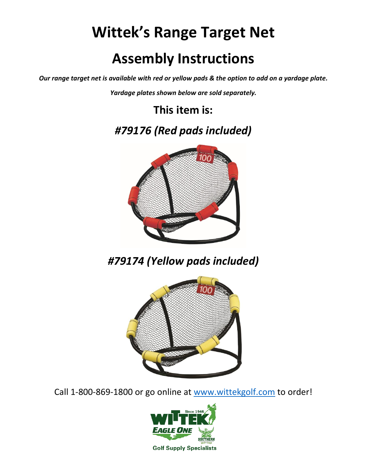## **Wittek's Range Target Net Assembly Instructions**

*Our range target net is available with red or yellow pads & the option to add on a yardage plate.*

*Yardage plates shown below are sold separately.*

**This item is:** 

*#79176 (Red pads included)*



*#79174 (Yellow pads included)*



Call 1-800-869-1800 or go online at [www.wittekgolf.com](http://www.wittekgolf.com/) to order!



**Golf Supply Specialists**